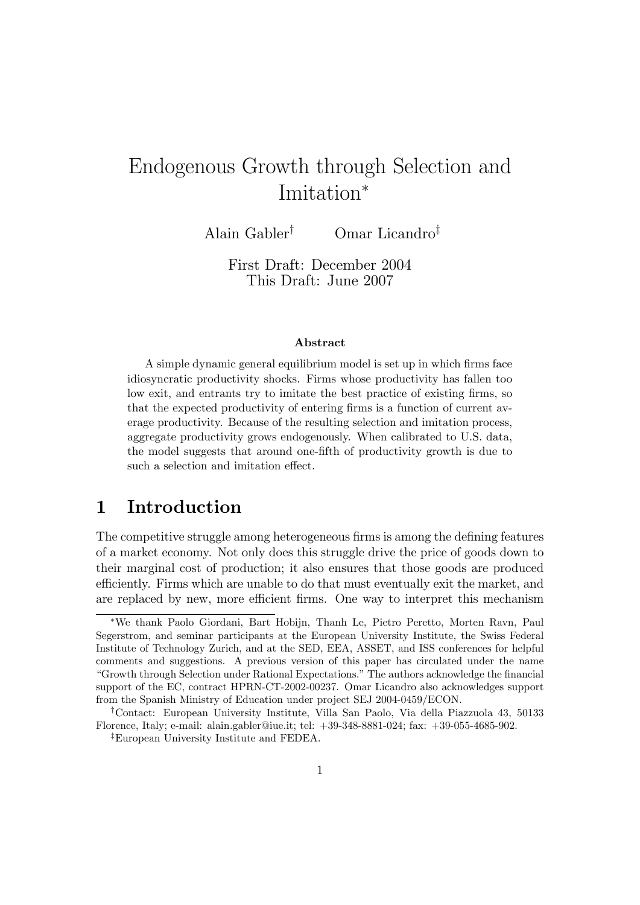# Endogenous Growth through Selection and Imitation

Alain Gabler<sup>†</sup> Omar Licandro<sup>‡</sup>

First Draft: December 2004 This Draft: June 2007

#### Abstract

A simple dynamic general equilibrium model is set up in which firms face idiosyncratic productivity shocks. Firms whose productivity has fallen too low exit, and entrants try to imitate the best practice of existing firms, so that the expected productivity of entering firms is a function of current average productivity. Because of the resulting selection and imitation process, aggregate productivity grows endogenously. When calibrated to U.S. data, the model suggests that around one-fth of productivity growth is due to such a selection and imitation effect.

### 1 Introduction

The competitive struggle among heterogeneous firms is among the defining features of a market economy. Not only does this struggle drive the price of goods down to their marginal cost of production; it also ensures that those goods are produced efficiently. Firms which are unable to do that must eventually exit the market, and are replaced by new, more efficient firms. One way to interpret this mechanism

We thank Paolo Giordani, Bart Hobijn, Thanh Le, Pietro Peretto, Morten Ravn, Paul Segerstrom, and seminar participants at the European University Institute, the Swiss Federal Institute of Technology Zurich, and at the SED, EEA, ASSET, and ISS conferences for helpful comments and suggestions. A previous version of this paper has circulated under the name "Growth through Selection under Rational Expectations." The authors acknowledge the financial support of the EC, contract HPRN-CT-2002-00237. Omar Licandro also acknowledges support from the Spanish Ministry of Education under project SEJ 2004-0459/ECON.

<sup>y</sup>Contact: European University Institute, Villa San Paolo, Via della Piazzuola 43, 50133 Florence, Italy; e-mail: alain.gabler@iue.it; tel: +39-348-8881-024; fax: +39-055-4685-902.

<sup>&</sup>lt;sup>‡</sup>European University Institute and FEDEA.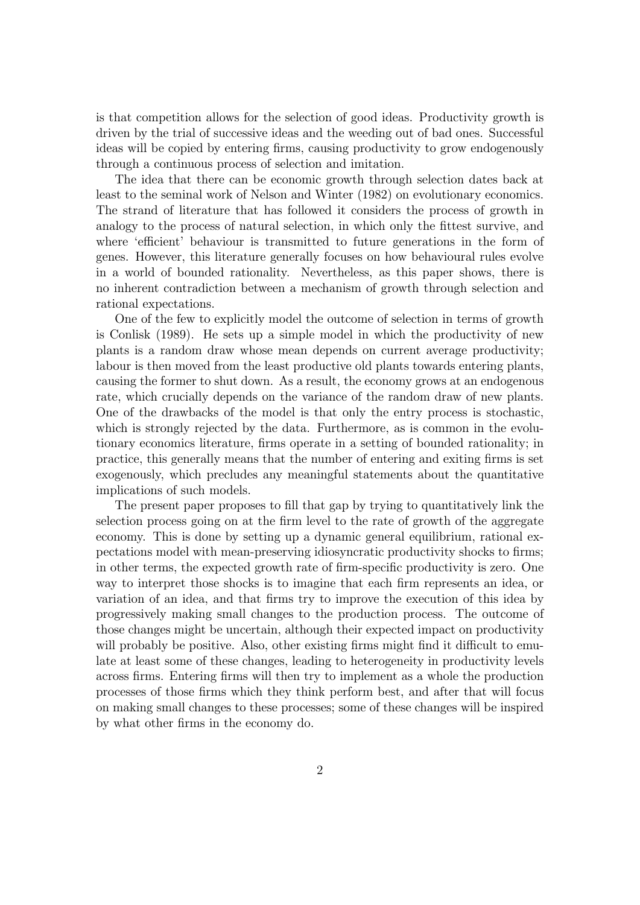is that competition allows for the selection of good ideas. Productivity growth is driven by the trial of successive ideas and the weeding out of bad ones. Successful ideas will be copied by entering firms, causing productivity to grow endogenously through a continuous process of selection and imitation.

The idea that there can be economic growth through selection dates back at least to the seminal work of Nelson and Winter (1982) on evolutionary economics. The strand of literature that has followed it considers the process of growth in analogy to the process of natural selection, in which only the fittest survive, and where 'efficient' behaviour is transmitted to future generations in the form of genes. However, this literature generally focuses on how behavioural rules evolve in a world of bounded rationality. Nevertheless, as this paper shows, there is no inherent contradiction between a mechanism of growth through selection and rational expectations.

One of the few to explicitly model the outcome of selection in terms of growth is Conlisk (1989). He sets up a simple model in which the productivity of new plants is a random draw whose mean depends on current average productivity; labour is then moved from the least productive old plants towards entering plants, causing the former to shut down. As a result, the economy grows at an endogenous rate, which crucially depends on the variance of the random draw of new plants. One of the drawbacks of the model is that only the entry process is stochastic, which is strongly rejected by the data. Furthermore, as is common in the evolutionary economics literature, firms operate in a setting of bounded rationality; in practice, this generally means that the number of entering and exiting firms is set exogenously, which precludes any meaningful statements about the quantitative implications of such models.

The present paper proposes to fill that gap by trying to quantitatively link the selection process going on at the firm level to the rate of growth of the aggregate economy. This is done by setting up a dynamic general equilibrium, rational expectations model with mean-preserving idiosyncratic productivity shocks to firms; in other terms, the expected growth rate of firm-specific productivity is zero. One way to interpret those shocks is to imagine that each firm represents an idea, or variation of an idea, and that firms try to improve the execution of this idea by progressively making small changes to the production process. The outcome of those changes might be uncertain, although their expected impact on productivity will probably be positive. Also, other existing firms might find it difficult to emulate at least some of these changes, leading to heterogeneity in productivity levels across firms. Entering firms will then try to implement as a whole the production processes of those firms which they think perform best, and after that will focus on making small changes to these processes; some of these changes will be inspired by what other firms in the economy do.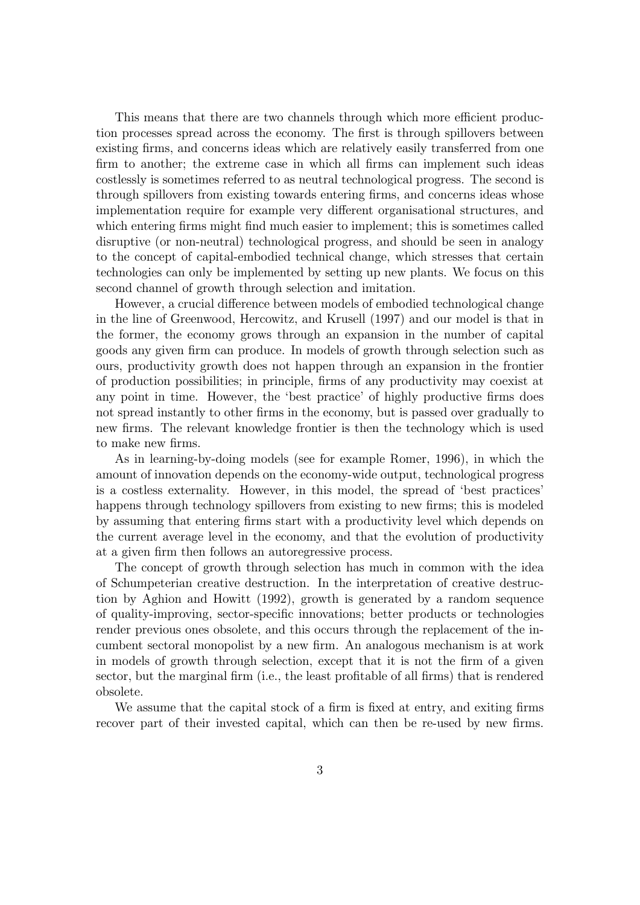This means that there are two channels through which more efficient production processes spread across the economy. The first is through spillovers between existing firms, and concerns ideas which are relatively easily transferred from one firm to another; the extreme case in which all firms can implement such ideas costlessly is sometimes referred to as neutral technological progress. The second is through spillovers from existing towards entering firms, and concerns ideas whose implementation require for example very different organisational structures, and which entering firms might find much easier to implement; this is sometimes called disruptive (or non-neutral) technological progress, and should be seen in analogy to the concept of capital-embodied technical change, which stresses that certain technologies can only be implemented by setting up new plants. We focus on this second channel of growth through selection and imitation.

However, a crucial difference between models of embodied technological change in the line of Greenwood, Hercowitz, and Krusell (1997) and our model is that in the former, the economy grows through an expansion in the number of capital goods any given firm can produce. In models of growth through selection such as ours, productivity growth does not happen through an expansion in the frontier of production possibilities; in principle, firms of any productivity may coexist at any point in time. However, the 'best practice' of highly productive firms does not spread instantly to other firms in the economy, but is passed over gradually to new firms. The relevant knowledge frontier is then the technology which is used to make new firms.

As in learning-by-doing models (see for example Romer, 1996), in which the amount of innovation depends on the economy-wide output, technological progress is a costless externality. However, in this model, the spread of `best practices' happens through technology spillovers from existing to new firms; this is modeled by assuming that entering firms start with a productivity level which depends on the current average level in the economy, and that the evolution of productivity at a given firm then follows an autoregressive process.

The concept of growth through selection has much in common with the idea of Schumpeterian creative destruction. In the interpretation of creative destruction by Aghion and Howitt (1992), growth is generated by a random sequence of quality-improving, sector-specic innovations; better products or technologies render previous ones obsolete, and this occurs through the replacement of the incumbent sectoral monopolist by a new firm. An analogous mechanism is at work in models of growth through selection, except that it is not the firm of a given sector, but the marginal firm  $(i.e., the least profitable of all firms) that is rendered$ obsolete.

We assume that the capital stock of a firm is fixed at entry, and exiting firms recover part of their invested capital, which can then be re-used by new firms.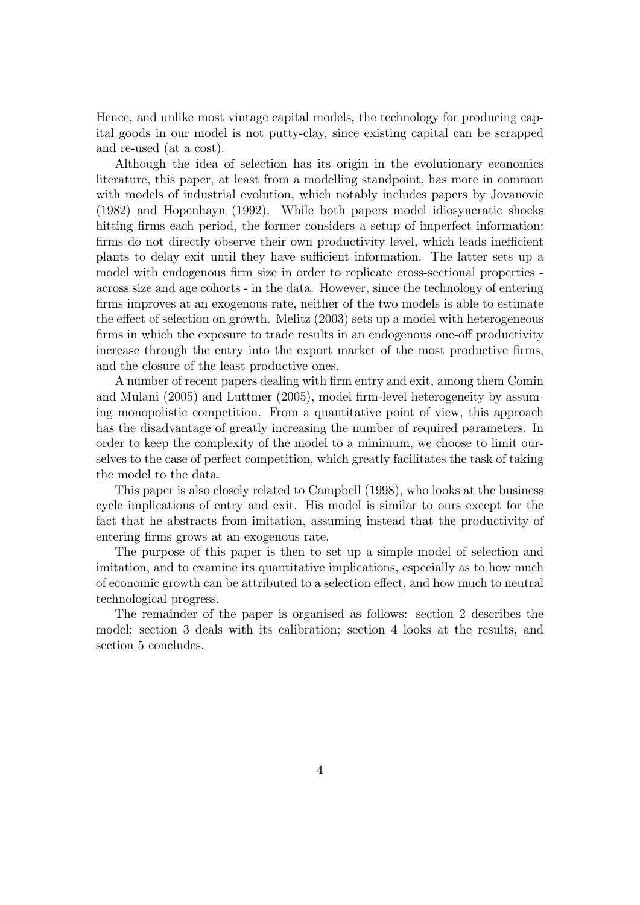Hence, and unlike most vintage capital models, the technology for producing capital goods in our model is not putty-clay, since existing capital can be scrapped and re-used (at a cost).

Although the idea of selection has its origin in the evolutionary economics literature, this paper, at least from a modelling standpoint, has more in common with models of industrial evolution, which notably includes papers by Jovanovic (1982) and Hopenhayn (1992). While both papers model idiosyncratic shocks hitting firms each period, the former considers a setup of imperfect information: firms do not directly observe their own productivity level, which leads inefficient plants to delay exit until they have sufficient information. The latter sets up a model with endogenous firm size in order to replicate cross-sectional properties across size and age cohorts - in the data. However, since the technology of entering firms improves at an exogenous rate, neither of the two models is able to estimate the effect of selection on growth. Melitz (2003) sets up a model with heterogeneous firms in which the exposure to trade results in an endogenous one-off productivity increase through the entry into the export market of the most productive firms, and the closure of the least productive ones.

A number of recent papers dealing with firm entry and exit, among them Comin and Mulani  $(2005)$  and Luttmer  $(2005)$ , model firm-level heterogeneity by assuming monopolistic competition. From a quantitative point of view, this approach has the disadvantage of greatly increasing the number of required parameters. In order to keep the complexity of the model to a minimum, we choose to limit ourselves to the case of perfect competition, which greatly facilitates the task of taking the model to the data.

This paper is also closely related to Campbell (1998), who looks at the business cycle implications of entry and exit. His model is similar to ours except for the fact that he abstracts from imitation, assuming instead that the productivity of entering firms grows at an exogenous rate.

The purpose of this paper is then to set up a simple model of selection and imitation, and to examine its quantitative implications, especially as to how much of economic growth can be attributed to a selection effect, and how much to neutral technological progress.

The remainder of the paper is organised as follows: section 2 describes the model; section 3 deals with its calibration; section 4 looks at the results, and section 5 concludes.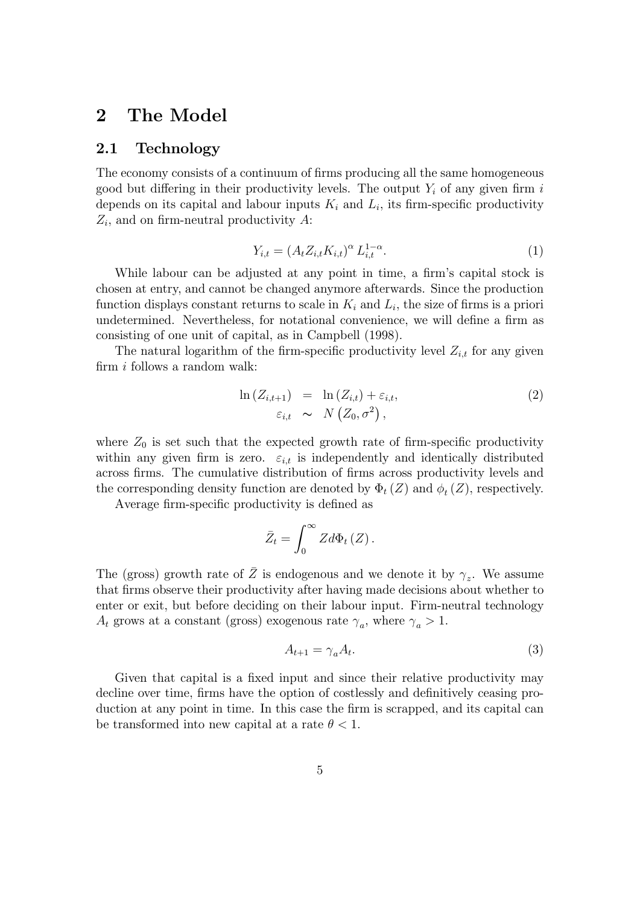## 2 The Model

#### 2.1 Technology

The economy consists of a continuum of firms producing all the same homogeneous good but differing in their productivity levels. The output  $Y_i$  of any given firm i depends on its capital and labour inputs  $K_i$  and  $L_i$ , its firm-specific productivity  $Z_i$ , and on firm-neutral productivity A:

$$
Y_{i,t} = (A_t Z_{i,t} K_{i,t})^{\alpha} L_{i,t}^{1-\alpha}.
$$
 (1)

While labour can be adjusted at any point in time, a firm's capital stock is chosen at entry, and cannot be changed anymore afterwards. Since the production function displays constant returns to scale in  $K_i$  and  $L_i$ , the size of firms is a priori undetermined. Nevertheless, for notational convenience, we will define a firm as consisting of one unit of capital, as in Campbell (1998).

The natural logarithm of the firm-specific productivity level  $Z_{i,t}$  for any given firm  $i$  follows a random walk:

$$
\ln\left(Z_{i,t+1}\right) = \ln\left(Z_{i,t}\right) + \varepsilon_{i,t},
$$
\n
$$
\varepsilon_{i,t} \sim N\left(Z_0, \sigma^2\right),
$$
\n(2)

where  $Z_0$  is set such that the expected growth rate of firm-specific productivity within any given firm is zero.  $\varepsilon_{i,t}$  is independently and identically distributed across firms. The cumulative distribution of firms across productivity levels and the corresponding density function are denoted by  $\Phi_t(Z)$  and  $\phi_t(Z)$ , respectively.

Average firm-specific productivity is defined as

$$
\bar{Z}_t = \int_0^\infty Z d\Phi_t(Z).
$$

The (gross) growth rate of  $\overline{Z}$  is endogenous and we denote it by  $\gamma_z$ . We assume that firms observe their productivity after having made decisions about whether to enter or exit, but before deciding on their labour input. Firm-neutral technology  $A_t$  grows at a constant (gross) exogenous rate  $\gamma_a$ , where  $\gamma_a > 1$ .

$$
A_{t+1} = \gamma_a A_t. \tag{3}
$$

Given that capital is a fixed input and since their relative productivity may decline over time, firms have the option of costlessly and definitively ceasing production at any point in time. In this case the firm is scrapped, and its capital can be transformed into new capital at a rate  $\theta < 1$ .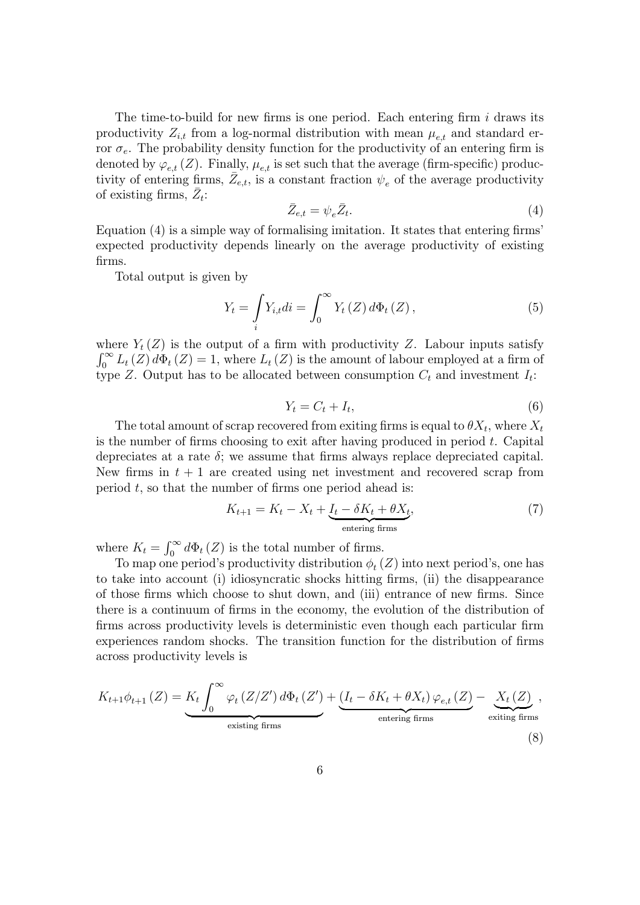The time-to-build for new firms is one period. Each entering firm  $i$  draws its productivity  $Z_{i,t}$  from a log-normal distribution with mean  $\mu_{e,t}$  and standard error  $\sigma_e$ . The probability density function for the productivity of an entering firm is denoted by  $\varphi_{e,t}(Z)$ . Finally,  $\mu_{e,t}$  is set such that the average (firm-specific) productivity of entering firms,  $\bar{Z}_{e,t}$ , is a constant fraction  $\psi_e$  of the average productivity of existing firms,  $\overline{Z}_t$ :

$$
\bar{Z}_{e,t} = \psi_e \bar{Z}_t. \tag{4}
$$

Equation  $(4)$  is a simple way of formalising imitation. It states that entering firms' expected productivity depends linearly on the average productivity of existing firms.

Total output is given by

$$
Y_{t} = \int_{i} Y_{i,t} di = \int_{0}^{\infty} Y_{t}(Z) d\Phi_{t}(Z), \qquad (5)
$$

where  $Y_t(Z)$  is the output of a firm with productivity Z. Labour inputs satisfy  $\int_0^\infty L_t(Z) d\Phi_t(Z) = 1$ , where  $L_t(Z)$  is the amount of labour employed at a firm of type Z. Output has to be allocated between consumption  $C_t$  and investment  $I_t$ :

$$
Y_t = C_t + I_t,\tag{6}
$$

The total amount of scrap recovered from exiting firms is equal to  $\theta X_t$ , where  $X_t$ is the number of firms choosing to exit after having produced in period  $t$ . Capital depreciates at a rate  $\delta$ ; we assume that firms always replace depreciated capital. New firms in  $t + 1$  are created using net investment and recovered scrap from period  $t$ , so that the number of firms one period ahead is:

$$
K_{t+1} = K_t - X_t + \underbrace{I_t - \delta K_t + \theta X_t}_{\text{entering firms}}, \tag{7}
$$

where  $K_t = \int_0^\infty d\Phi_t(Z)$  is the total number of firms.

To map one period's productivity distribution  $\phi_t(Z)$  into next period's, one has to take into account (i) idiosyncratic shocks hitting firms, (ii) the disappearance of those firms which choose to shut down, and (iii) entrance of new firms. Since there is a continuum of firms in the economy, the evolution of the distribution of firms across productivity levels is deterministic even though each particular firm experiences random shocks. The transition function for the distribution of firms across productivity levels is

$$
K_{t+1}\phi_{t+1}(Z) = \underbrace{K_t \int_0^\infty \varphi_t(Z/Z') d\Phi_t(Z')}_{\text{existing firms}} + \underbrace{(I_t - \delta K_t + \theta X_t) \varphi_{e,t}(Z)}_{\text{entering firms}} - \underbrace{X_t(Z)}_{\text{extting firms}},
$$
\n(8)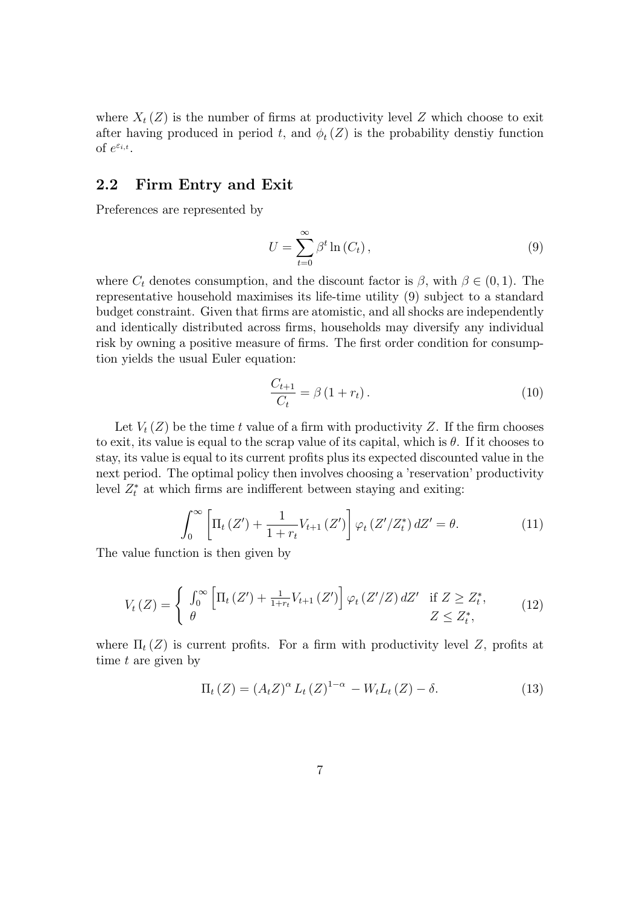where  $X_t(Z)$  is the number of firms at productivity level Z which choose to exit after having produced in period t, and  $\phi_t(Z)$  is the probability denstiy function of  $e^{\varepsilon_{i,t}}$ .

#### 2.2 Firm Entry and Exit

Preferences are represented by

$$
U = \sum_{t=0}^{\infty} \beta^t \ln(C_t), \qquad (9)
$$

where  $C_t$  denotes consumption, and the discount factor is  $\beta$ , with  $\beta \in (0,1)$ . The representative household maximises its life-time utility (9) subject to a standard budget constraint. Given that firms are atomistic, and all shocks are independently and identically distributed across firms, households may diversify any individual risk by owning a positive measure of firms. The first order condition for consumption yields the usual Euler equation:

$$
\frac{C_{t+1}}{C_t} = \beta \left( 1 + r_t \right). \tag{10}
$$

Let  $V_t(Z)$  be the time t value of a firm with productivity Z. If the firm chooses to exit, its value is equal to the scrap value of its capital, which is  $\theta$ . If it chooses to stay, its value is equal to its current prots plus its expected discounted value in the next period. The optimal policy then involves choosing a 'reservation' productivity level  $Z_t^*$  at which firms are indifferent between staying and exiting:

$$
\int_0^\infty \left[ \Pi_t(Z') + \frac{1}{1+r_t} V_{t+1}(Z') \right] \varphi_t(Z'/Z_t^*) dZ' = \theta.
$$
 (11)

The value function is then given by

$$
V_t(Z) = \begin{cases} \int_0^\infty \left[ \Pi_t(Z') + \frac{1}{1+r_t} V_{t+1}(Z') \right] \varphi_t(Z'/Z) dZ' & \text{if } Z \ge Z_t^*, \\ \theta & Z \le Z_t^*, \end{cases} \tag{12}
$$

where  $\Pi_t(Z)$  is current profits. For a firm with productivity level Z, profits at time t are given by

$$
\Pi_t(Z) = (A_t Z)^{\alpha} L_t(Z)^{1-\alpha} - W_t L_t(Z) - \delta.
$$
\n(13)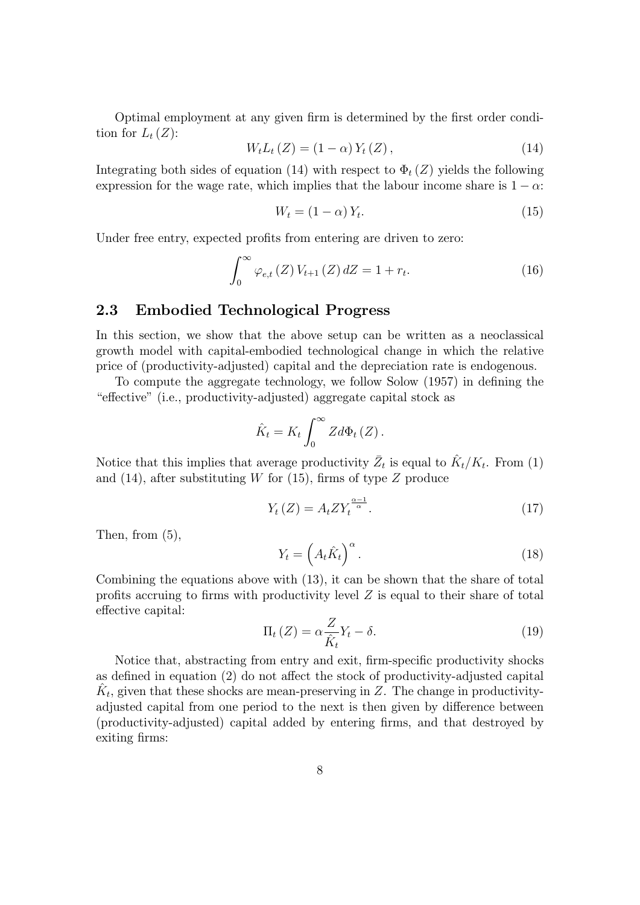Optimal employment at any given firm is determined by the first order condition for  $L_t(Z)$ :

$$
W_{t}L_{t}(Z) = (1 - \alpha) Y_{t}(Z), \qquad (14)
$$

Integrating both sides of equation (14) with respect to  $\Phi_t(Z)$  yields the following expression for the wage rate, which implies that the labour income share is  $1 - \alpha$ .

$$
W_t = (1 - \alpha) Y_t.
$$
\n<sup>(15)</sup>

Under free entry, expected profits from entering are driven to zero:

$$
\int_{0}^{\infty} \varphi_{e,t}(Z) V_{t+1}(Z) dZ = 1 + r_t.
$$
 (16)

#### 2.3 Embodied Technological Progress

In this section, we show that the above setup can be written as a neoclassical growth model with capital-embodied technological change in which the relative price of (productivity-adjusted) capital and the depreciation rate is endogenous.

To compute the aggregate technology, we follow Solow (1957) in dening the "effective" (i.e., productivity-adjusted) aggregate capital stock as

$$
\hat{K}_t = K_t \int_0^\infty Z d\Phi_t (Z).
$$

Notice that this implies that average productivity  $\bar{Z}_t$  is equal to  $\hat{K}_t/K_t$ . From (1) and (14), after substituting  $W$  for (15), firms of type  $Z$  produce

$$
Y_t(Z) = A_t Z Y_t^{\frac{\alpha - 1}{\alpha}}.
$$
\n(17)

Then, from (5),

$$
Y_t = \left(A_t \hat{K}_t\right)^\alpha. \tag{18}
$$

Combining the equations above with (13), it can be shown that the share of total profits accruing to firms with productivity level  $Z$  is equal to their share of total effective capital:

$$
\Pi_t(Z) = \alpha \frac{Z}{\hat{K}_t} Y_t - \delta. \tag{19}
$$

Notice that, abstracting from entry and exit, firm-specific productivity shocks as defined in equation  $(2)$  do not affect the stock of productivity-adjusted capital  $\hat{K}_t$ , given that these shocks are mean-preserving in Z. The change in productivityadjusted capital from one period to the next is then given by difference between (productivity-adjusted) capital added by entering firms, and that destroyed by exiting firms: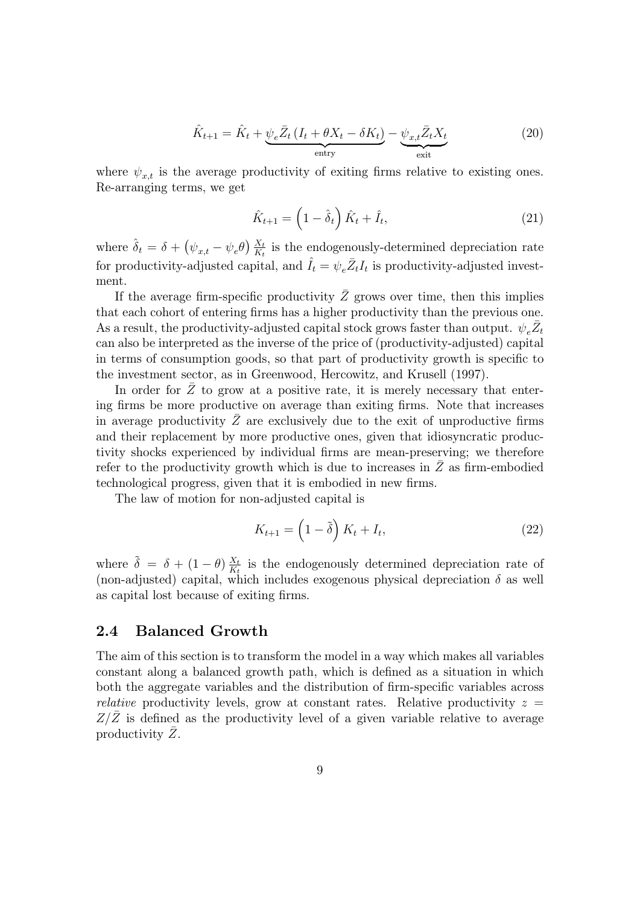$$
\hat{K}_{t+1} = \hat{K}_t + \underbrace{\psi_e \bar{Z}_t \left( I_t + \theta X_t - \delta K_t \right)}_{\text{entry}} - \underbrace{\psi_{x,t} \bar{Z}_t X_t}_{\text{exit}} \tag{20}
$$

where  $\psi_{x,t}$  is the average productivity of exiting firms relative to existing ones. Re-arranging terms, we get

$$
\hat{K}_{t+1} = \left(1 - \hat{\delta}_t\right)\hat{K}_t + \hat{I}_t,\tag{21}
$$

where  $\hat{\delta}_t = \delta + (\psi_{x,t} - \psi_e \theta) \frac{X_t}{K_t}$  is the endogenously-determined depreciation rate for productivity-adjusted capital, and  $\hat{I}_t = \psi_e \bar{Z}_t I_t$  is productivity-adjusted investment.

If the average firm-specific productivity  $\bar{Z}$  grows over time, then this implies that each cohort of entering firms has a higher productivity than the previous one. As a result, the productivity-adjusted capital stock grows faster than output.  $\psi_e \bar{Z}_t$ can also be interpreted as the inverse of the price of (productivity-adjusted) capital in terms of consumption goods, so that part of productivity growth is specific to the investment sector, as in Greenwood, Hercowitz, and Krusell (1997).

In order for  $Z$  to grow at a positive rate, it is merely necessary that entering firms be more productive on average than exiting firms. Note that increases in average productivity  $\bar{Z}$  are exclusively due to the exit of unproductive firms and their replacement by more productive ones, given that idiosyncratic productivity shocks experienced by individual firms are mean-preserving; we therefore refer to the productivity growth which is due to increases in  $\overline{Z}$  as firm-embodied technological progress, given that it is embodied in new firms.

The law of motion for non-adjusted capital is

$$
K_{t+1} = \left(1 - \tilde{\delta}\right) K_t + I_t,\tag{22}
$$

where  $\tilde{\delta} = \delta + (1 - \theta) \frac{X_t}{K_t}$  $\frac{X_t}{K_t}$  is the endogenously determined depreciation rate of (non-adjusted) capital, which includes exogenous physical depreciation  $\delta$  as well as capital lost because of exiting firms.

#### 2.4 Balanced Growth

The aim of this section is to transform the model in a way which makes all variables constant along a balanced growth path, which is defined as a situation in which both the aggregate variables and the distribution of firm-specific variables across relative productivity levels, grow at constant rates. Relative productivity  $z =$  $Z/Z$  is defined as the productivity level of a given variable relative to average productivity  $\bar{Z}$ .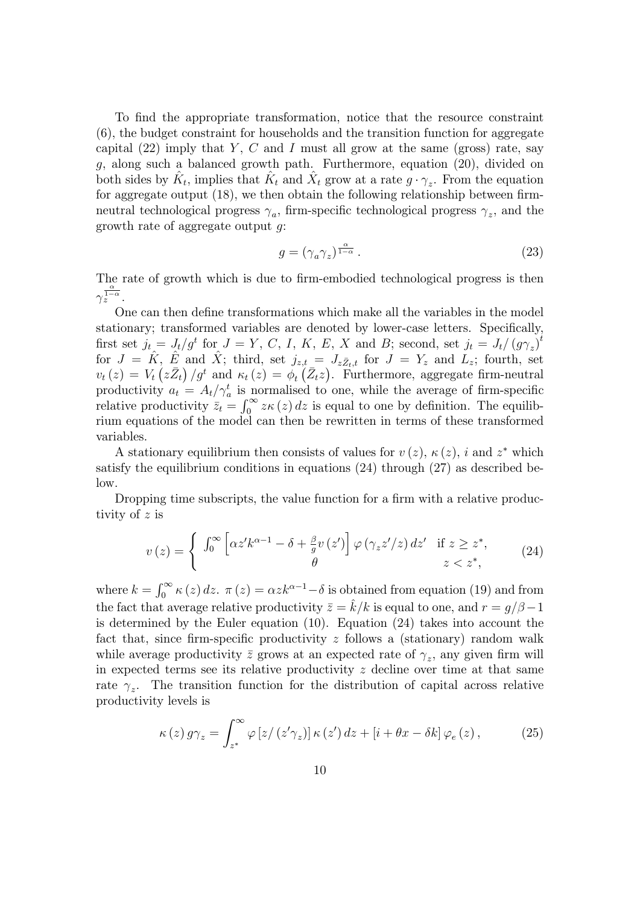To find the appropriate transformation, notice that the resource constraint (6), the budget constraint for households and the transition function for aggregate capital  $(22)$  imply that Y, C and I must all grow at the same (gross) rate, say g, along such a balanced growth path. Furthermore, equation (20), divided on both sides by  $\hat{K}_t$ , implies that  $\hat{K}_t$  and  $\hat{X}_t$  grow at a rate  $g \cdot \gamma_z$ . From the equation for aggregate output  $(18)$ , we then obtain the following relationship between firmneutral technological progress  $\gamma_a$ , firm-specific technological progress  $\gamma_z$ , and the growth rate of aggregate output g:

$$
g = (\gamma_a \gamma_z)^{\frac{\alpha}{1-\alpha}}.
$$
\n(23)

The rate of growth which is due to firm-embodied technological progress is then  $\gamma_z^{\frac{\alpha}{1-\alpha}}$ .

One can then define transformations which make all the variables in the model stationary; transformed variables are denoted by lower-case letters. Specically, first set  $j_t = J_t/g^t$  for  $J = Y, C, I, K, E, X$  and B; second, set  $j_t = J_t/(g\gamma_z)^t$ for  $J = \hat{K}$ ,  $\hat{E}$  and  $\hat{X}$ ; third, set  $j_{z,t} = J_{z\bar{Z}_{t},t}$  for  $J = Y_z$  and  $L_z$ ; fourth, set  $v_t(z) = V_t(z\bar{Z}_t)/g^t$  and  $\kappa_t(z) = \phi_t(z)$ . Furthermore, aggregate firm-neutral productivity  $a_t = A_t / \gamma_a^t$  is normalised to one, while the average of firm-specific relative productivity  $\overline{z}_t = \int_0^\infty z \kappa(z) dz$  is equal to one by definition. The equilibrium equations of the model can then be rewritten in terms of these transformed variables.

A stationary equilibrium then consists of values for  $v(z)$ ,  $\kappa(z)$ , i and  $z^*$  which satisfy the equilibrium conditions in equations (24) through (27) as described below.

Dropping time subscripts, the value function for a firm with a relative productivity of z is

$$
v(z) = \begin{cases} \int_0^\infty \left[ \alpha z' k^{\alpha - 1} - \delta + \frac{\beta}{g} v(z') \right] \varphi \left( \gamma_z z' / z \right) dz' & \text{if } z \ge z^*, \\ \theta & z < z^*, \end{cases} \tag{24}
$$

where  $k = \int_0^\infty \kappa(z) dz$ .  $\pi(z) = \alpha z k^{\alpha-1} - \delta$  is obtained from equation (19) and from the fact that average relative productivity  $\bar{z} = \hat{k}/k$  is equal to one, and  $r = q/\beta - 1$ is determined by the Euler equation (10). Equation (24) takes into account the fact that, since firm-specific productivity  $z$  follows a (stationary) random walk while average productivity  $\bar{z}$  grows at an expected rate of  $\gamma_z$ , any given firm will in expected terms see its relative productivity  $z$  decline over time at that same rate  $\gamma_z$ . The transition function for the distribution of capital across relative productivity levels is

$$
\kappa(z) g \gamma_z = \int_{z^*}^{\infty} \varphi \left[ z / \left( z' \gamma_z \right) \right] \kappa(z') dz + \left[ i + \theta x - \delta k \right] \varphi_e \left( z \right), \tag{25}
$$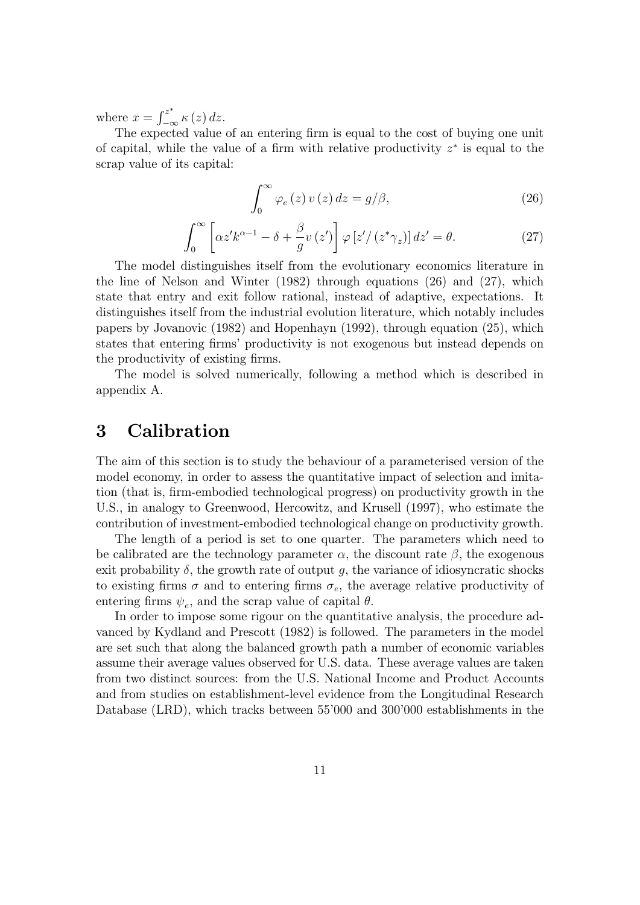where  $x = \int_{-\infty}^{z^*} \kappa(z) dz$ .

The expected value of an entering firm is equal to the cost of buying one unit of capital, while the value of a firm with relative productivity  $z^*$  is equal to the scrap value of its capital:

$$
\int_0^\infty \varphi_e(z) \, v(z) \, dz = g/\beta,\tag{26}
$$

$$
\int_0^\infty \left[ \alpha z' k^{\alpha - 1} - \delta + \frac{\beta}{g} v \left( z' \right) \right] \varphi \left[ z' / \left( z^* \gamma_z \right) \right] dz' = \theta. \tag{27}
$$

The model distinguishes itself from the evolutionary economics literature in the line of Nelson and Winter (1982) through equations (26) and (27), which state that entry and exit follow rational, instead of adaptive, expectations. It distinguishes itself from the industrial evolution literature, which notably includes papers by Jovanovic (1982) and Hopenhayn (1992), through equation (25), which states that entering firms' productivity is not exogenous but instead depends on the productivity of existing firms.

The model is solved numerically, following a method which is described in appendix A.

# 3 Calibration

The aim of this section is to study the behaviour of a parameterised version of the model economy, in order to assess the quantitative impact of selection and imitation (that is, firm-embodied technological progress) on productivity growth in the U.S., in analogy to Greenwood, Hercowitz, and Krusell (1997), who estimate the contribution of investment-embodied technological change on productivity growth.

The length of a period is set to one quarter. The parameters which need to be calibrated are the technology parameter  $\alpha$ , the discount rate  $\beta$ , the exogenous exit probability  $\delta$ , the growth rate of output g, the variance of idiosyncratic shocks to existing firms  $\sigma$  and to entering firms  $\sigma_e$ , the average relative productivity of entering firms  $\psi_e$ , and the scrap value of capital  $\theta$ .

In order to impose some rigour on the quantitative analysis, the procedure advanced by Kydland and Prescott (1982) is followed. The parameters in the model are set such that along the balanced growth path a number of economic variables assume their average values observed for U.S. data. These average values are taken from two distinct sources: from the U.S. National Income and Product Accounts and from studies on establishment-level evidence from the Longitudinal Research Database (LRD), which tracks between 55'000 and 300'000 establishments in the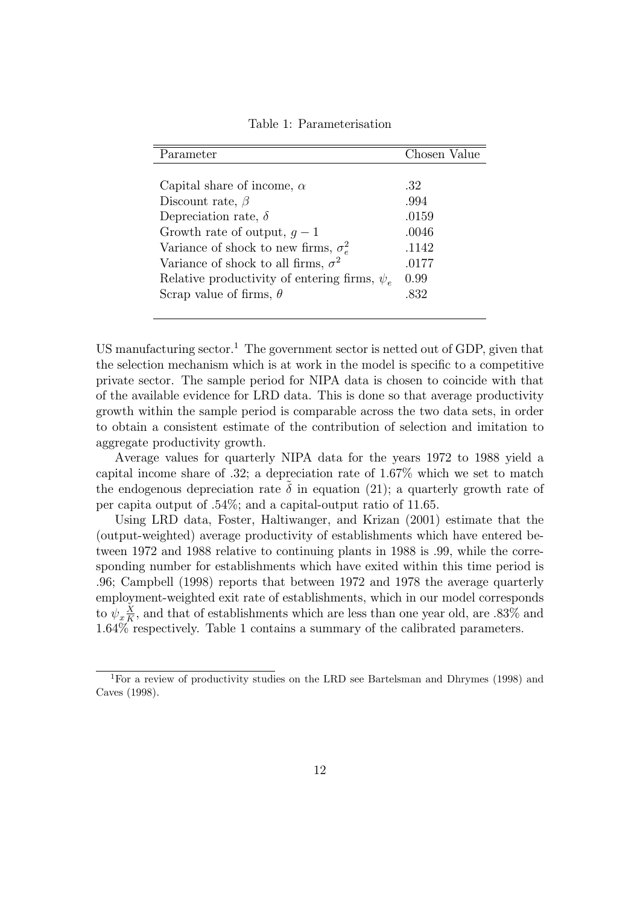| Parameter                                         | Chosen Value |
|---------------------------------------------------|--------------|
|                                                   |              |
| Capital share of income, $\alpha$                 | .32          |
| Discount rate, $\beta$                            | .994         |
| Depreciation rate, $\delta$                       | .0159        |
| Growth rate of output, $q-1$                      | .0046        |
| Variance of shock to new firms, $\sigma_{e}^{2}$  | .1142        |
| Variance of shock to all firms, $\sigma^2$        | .0177        |
| Relative productivity of entering firms, $\psi_e$ | 0.99         |
| Scrap value of firms, $\theta$                    | .832         |
|                                                   |              |

Table 1: Parameterisation

US manufacturing sector.<sup>1</sup> The government sector is netted out of GDP, given that the selection mechanism which is at work in the model is specific to a competitive private sector. The sample period for NIPA data is chosen to coincide with that of the available evidence for LRD data. This is done so that average productivity growth within the sample period is comparable across the two data sets, in order to obtain a consistent estimate of the contribution of selection and imitation to aggregate productivity growth.

Average values for quarterly NIPA data for the years 1972 to 1988 yield a capital income share of  $.32$ ; a depreciation rate of  $1.67\%$  which we set to match the endogenous depreciation rate  $\tilde{\delta}$  in equation (21); a quarterly growth rate of per capita output of :54%; and a capital-output ratio of 11:65.

Using LRD data, Foster, Haltiwanger, and Krizan (2001) estimate that the (output-weighted) average productivity of establishments which have entered between 1972 and 1988 relative to continuing plants in 1988 is :99, while the corresponding number for establishments which have exited within this time period is :96; Campbell (1998) reports that between 1972 and 1978 the average quarterly employment-weighted exit rate of establishments, which in our model corresponds to  $\psi_x \frac{X}{K}$  $\frac{X}{K}$ , and that of establishments which are less than one year old, are .83% and 1:64% respectively. Table 1 contains a summary of the calibrated parameters.

<sup>1</sup>For a review of productivity studies on the LRD see Bartelsman and Dhrymes (1998) and Caves (1998).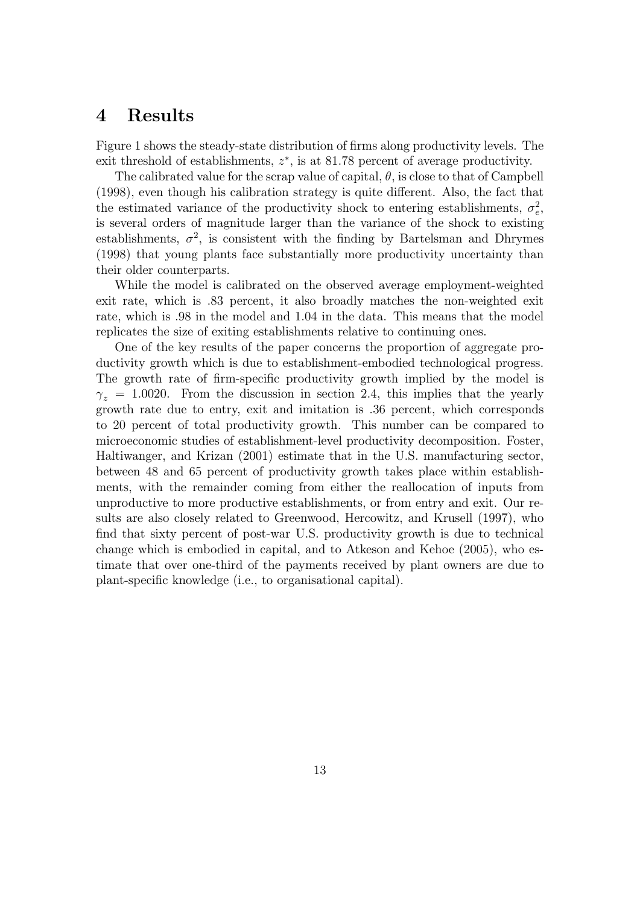### 4 Results

Figure 1 shows the steady-state distribution of firms along productivity levels. The exit threshold of establishments,  $z^*$ , is at 81.78 percent of average productivity.

The calibrated value for the scrap value of capital,  $\theta$ , is close to that of Campbell  $(1998)$ , even though his calibration strategy is quite different. Also, the fact that the estimated variance of the productivity shock to entering establishments,  $\sigma_e^2$ , is several orders of magnitude larger than the variance of the shock to existing establishments,  $\sigma^2$ , is consistent with the finding by Bartelsman and Dhrymes (1998) that young plants face substantially more productivity uncertainty than their older counterparts.

While the model is calibrated on the observed average employment-weighted exit rate, which is :83 percent, it also broadly matches the non-weighted exit rate, which is :98 in the model and 1:04 in the data. This means that the model replicates the size of exiting establishments relative to continuing ones.

One of the key results of the paper concerns the proportion of aggregate productivity growth which is due to establishment-embodied technological progress. The growth rate of firm-specific productivity growth implied by the model is  $\gamma_z = 1.0020$ . From the discussion in section 2.4, this implies that the yearly growth rate due to entry, exit and imitation is :36 percent, which corresponds to 20 percent of total productivity growth. This number can be compared to microeconomic studies of establishment-level productivity decomposition. Foster, Haltiwanger, and Krizan (2001) estimate that in the U.S. manufacturing sector, between 48 and 65 percent of productivity growth takes place within establishments, with the remainder coming from either the reallocation of inputs from unproductive to more productive establishments, or from entry and exit. Our results are also closely related to Greenwood, Hercowitz, and Krusell (1997), who find that sixty percent of post-war U.S. productivity growth is due to technical change which is embodied in capital, and to Atkeson and Kehoe (2005), who estimate that over one-third of the payments received by plant owners are due to plant-specic knowledge (i.e., to organisational capital).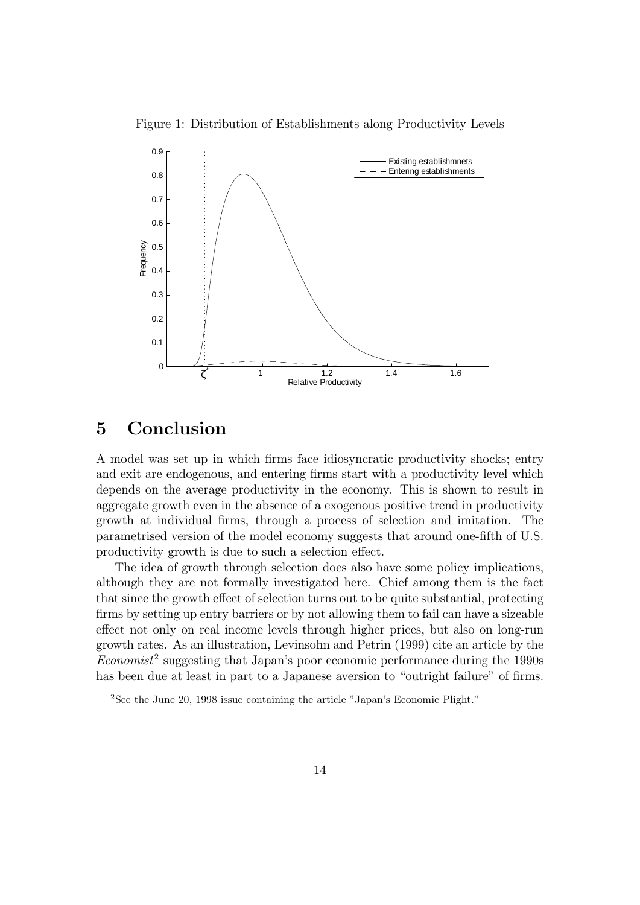Figure 1: Distribution of Establishments along Productivity Levels



# 5 Conclusion

A model was set up in which firms face idiosyncratic productivity shocks; entry and exit are endogenous, and entering firms start with a productivity level which depends on the average productivity in the economy. This is shown to result in aggregate growth even in the absence of a exogenous positive trend in productivity growth at individual firms, through a process of selection and imitation. The parametrised version of the model economy suggests that around one-fth of U.S. productivity growth is due to such a selection effect.

The idea of growth through selection does also have some policy implications, although they are not formally investigated here. Chief among them is the fact that since the growth effect of selection turns out to be quite substantial, protecting firms by setting up entry barriers or by not allowing them to fail can have a sizeable effect not only on real income levels through higher prices, but also on long-run growth rates. As an illustration, Levinsohn and Petrin (1999) cite an article by the  $Economics<sup>2</sup>$  suggesting that Japan's poor economic performance during the 1990s has been due at least in part to a Japanese aversion to "outright failure" of firms.

<sup>&</sup>lt;sup>2</sup>See the June 20, 1998 issue containing the article "Japan's Economic Plight."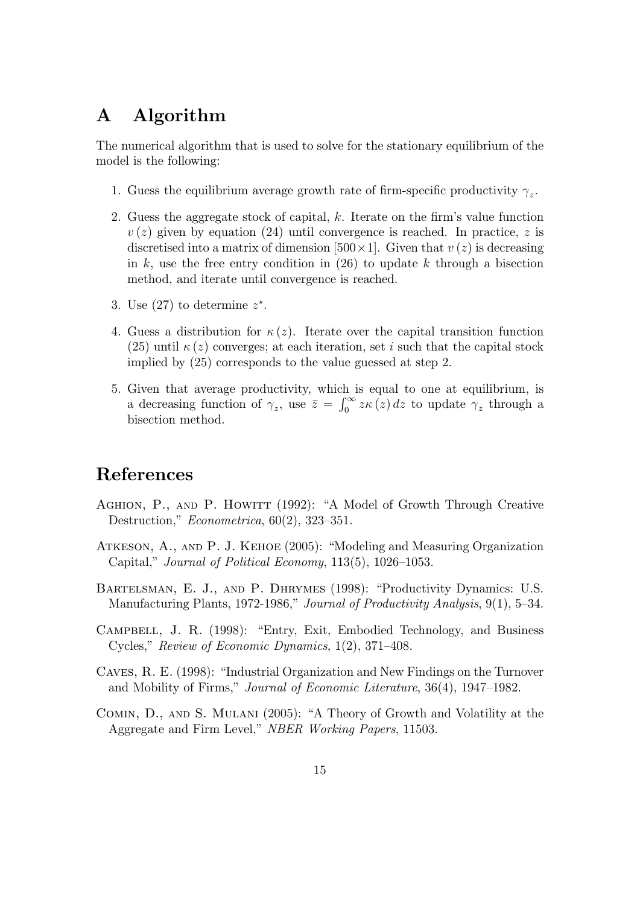# A Algorithm

The numerical algorithm that is used to solve for the stationary equilibrium of the model is the following:

- 1. Guess the equilibrium average growth rate of firm-specific productivity  $\gamma_z$ .
- 2. Guess the aggregate stock of capital,  $k$ . Iterate on the firm's value function  $v(z)$  given by equation (24) until convergence is reached. In practice, z is discretised into a matrix of dimension [500 $\times$ 1]. Given that  $v(z)$  is decreasing in  $k$ , use the free entry condition in (26) to update  $k$  through a bisection method, and iterate until convergence is reached.
- 3. Use (27) to determine  $z^*$ .
- 4. Guess a distribution for  $\kappa(z)$ . Iterate over the capital transition function  $(25)$  until  $\kappa(z)$  converges; at each iteration, set i such that the capital stock implied by (25) corresponds to the value guessed at step 2.
- 5. Given that average productivity, which is equal to one at equilibrium, is a decreasing function of  $\gamma_z$ , use  $\bar{z} = \int_0^\infty z \kappa(z) dz$  to update  $\gamma_z$  through a bisection method.

### References

- AGHION, P., AND P. HOWITT (1992): "A Model of Growth Through Creative Destruction,"  $Econometrica$ , 60(2), 323-351.
- ATKESON, A., AND P. J. KEHOE (2005): "Modeling and Measuring Organization Capital," Journal of Political Economy,  $113(5)$ ,  $1026-1053$ .
- BARTELSMAN, E. J., AND P. DHRYMES (1998): "Productivity Dynamics: U.S. Manufacturing Plants, 1972-1986," Journal of Productivity Analysis, 9(1), 5-34.
- CAMPBELL, J. R. (1998): "Entry, Exit, Embodied Technology, and Business Cycles," Review of Economic Dynamics,  $1(2)$ ,  $371-408$ .
- Caves, R. E. (1998): \Industrial Organization and New Findings on the Turnover and Mobility of Firms," *Journal of Economic Literature*,  $36(4)$ ,  $1947-1982$ .
- COMIN, D., AND S. MULANI (2005): "A Theory of Growth and Volatility at the Aggregate and Firm Level," NBER Working Papers, 11503.